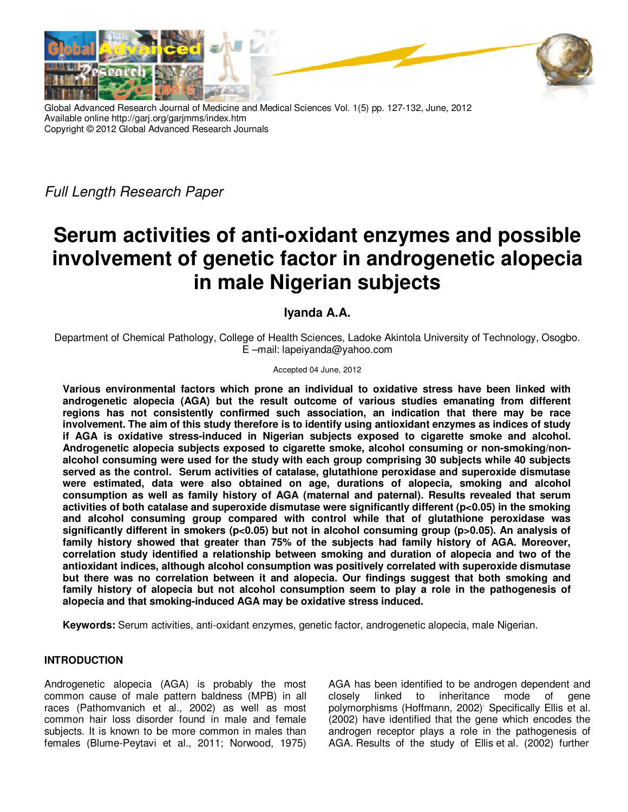

Global Advanced Research Journal of Medicine and Medical Sciences Vol. 1(5) pp. 127-132, June, 2012 Available online http://garj.org/garjmms/index.htm Copyright © 2012 Global Advanced Research Journals

Full Length Research Paper

# **Serum activities of anti-oxidant enzymes and possible involvement of genetic factor in androgenetic alopecia in male Nigerian subjects**

# **Iyanda A.A.**

Department of Chemical Pathology, College of Health Sciences, Ladoke Akintola University of Technology, Osogbo. E –mail: lapeiyanda@yahoo.com

#### Accepted 04 June, 2012

**Various environmental factors which prone an individual to oxidative stress have been linked with androgenetic alopecia (AGA) but the result outcome of various studies emanating from different regions has not consistently confirmed such association, an indication that there may be race involvement. The aim of this study therefore is to identify using antioxidant enzymes as indices of study if AGA is oxidative stress-induced in Nigerian subjects exposed to cigarette smoke and alcohol. Androgenetic alopecia subjects exposed to cigarette smoke, alcohol consuming or non-smoking/nonalcohol consuming were used for the study with each group comprising 30 subjects while 40 subjects served as the control. Serum activities of catalase, glutathione peroxidase and superoxide dismutase were estimated, data were also obtained on age, durations of alopecia, smoking and alcohol consumption as well as family history of AGA (maternal and paternal). Results revealed that serum activities of both catalase and superoxide dismutase were significantly different (p<0.05) in the smoking and alcohol consuming group compared with control while that of glutathione peroxidase was significantly different in smokers (p<0.05) but not in alcohol consuming group (p>0.05). An analysis of family history showed that greater than 75% of the subjects had family history of AGA. Moreover, correlation study identified a relationship between smoking and duration of alopecia and two of the antioxidant indices, although alcohol consumption was positively correlated with superoxide dismutase but there was no correlation between it and alopecia. Our findings suggest that both smoking and family history of alopecia but not alcohol consumption seem to play a role in the pathogenesis of alopecia and that smoking-induced AGA may be oxidative stress induced.** 

**Keywords:** Serum activities, anti-oxidant enzymes, genetic factor, androgenetic alopecia, male Nigerian.

## **INTRODUCTION**

Androgenetic alopecia (AGA) is probably the most common cause of male pattern baldness (MPB) in all races (Pathomvanich et al., 2002) as well as most common hair loss disorder found in male and female subjects. It is known to be more common in males than females (Blume-Peytavi et al., 2011; Norwood, 1975)

AGA has been identified to be androgen dependent and closely linked to inheritance mode of gene polymorphisms (Hoffmann, 2002). Specifically Ellis et al. (2002) have identified that the gene which encodes the androgen receptor plays a role in the pathogenesis of AGA. Results of the study of Ellis et al. (2002) further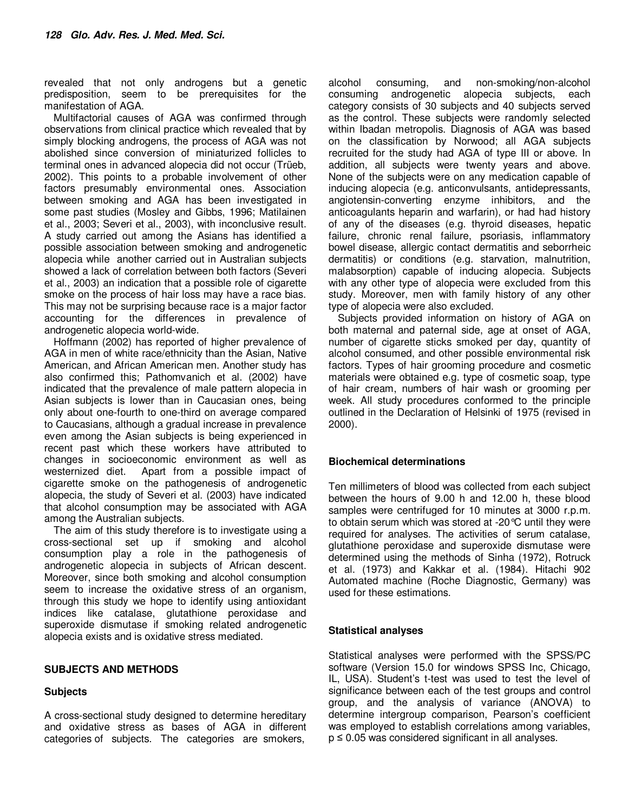revealed that not only androgens but a genetic predisposition, seem to be prerequisites for the manifestation of AGA.

Multifactorial causes of AGA was confirmed through observations from clinical practice which revealed that by simply blocking androgens, the process of AGA was not abolished since conversion of miniaturized follicles to terminal ones in advanced alopecia did not occur (Trüeb, 2002). This points to a probable involvement of other factors presumably environmental ones. Association between smoking and AGA has been investigated in some past studies (Mosley and Gibbs, 1996; Matilainen et al., 2003; Severi et al., 2003), with inconclusive result. A study carried out among the Asians has identified a possible association between smoking and androgenetic alopecia while another carried out in Australian subjects showed a lack of correlation between both factors (Severi et al., 2003) an indication that a possible role of cigarette smoke on the process of hair loss may have a race bias. This may not be surprising because race is a major factor accounting for the differences in prevalence of androgenetic alopecia world-wide.

Hoffmann (2002) has reported of higher prevalence of AGA in men of white race/ethnicity than the Asian, Native American, and African American men. Another study has also confirmed this; Pathomvanich et al. (2002) have indicated that the prevalence of male pattern alopecia in Asian subjects is lower than in Caucasian ones, being only about one-fourth to one-third on average compared to Caucasians, although a gradual increase in prevalence even among the Asian subjects is being experienced in recent past which these workers have attributed to changes in socioeconomic environment as well as westernized diet. Apart from a possible impact of cigarette smoke on the pathogenesis of androgenetic alopecia, the study of Severi et al. (2003) have indicated that alcohol consumption may be associated with AGA among the Australian subjects.

The aim of this study therefore is to investigate using a cross-sectional set up if smoking and alcohol consumption play a role in the pathogenesis of androgenetic alopecia in subjects of African descent. Moreover, since both smoking and alcohol consumption seem to increase the oxidative stress of an organism, through this study we hope to identify using antioxidant indices like catalase, glutathione peroxidase and superoxide dismutase if smoking related androgenetic alopecia exists and is oxidative stress mediated.

#### **SUBJECTS AND METHODS**

## **Subjects**

A cross-sectional study designed to determine hereditary and oxidative stress as bases of AGA in different categories of subjects. The categories are smokers,

alcohol consuming, and non-smoking/non-alcohol consuming androgenetic alopecia subjects, each category consists of 30 subjects and 40 subjects served as the control. These subjects were randomly selected within Ibadan metropolis. Diagnosis of AGA was based on the classification by Norwood; all AGA subjects recruited for the study had AGA of type III or above. In addition, all subjects were twenty years and above. None of the subjects were on any medication capable of inducing alopecia (e.g. anticonvulsants, antidepressants, angiotensin-converting enzyme inhibitors, and the anticoagulants heparin and warfarin), or had had history of any of the diseases (e.g. thyroid diseases, hepatic failure, chronic renal failure, psoriasis, inflammatory bowel disease, allergic contact dermatitis and seborrheic dermatitis) or conditions (e.g. starvation, malnutrition, malabsorption) capable of inducing alopecia. Subjects with any other type of alopecia were excluded from this study. Moreover, men with family history of any other type of alopecia were also excluded.

Subjects provided information on history of AGA on both maternal and paternal side, age at onset of AGA, number of cigarette sticks smoked per day, quantity of alcohol consumed, and other possible environmental risk factors. Types of hair grooming procedure and cosmetic materials were obtained e.g. type of cosmetic soap, type of hair cream, numbers of hair wash or grooming per week. All study procedures conformed to the principle outlined in the Declaration of Helsinki of 1975 (revised in 2000).

#### **Biochemical determinations**

Ten millimeters of blood was collected from each subject between the hours of 9.00 h and 12.00 h, these blood samples were centrifuged for 10 minutes at 3000 r.p.m. to obtain serum which was stored at -20°C until they were required for analyses. The activities of serum catalase, glutathione peroxidase and superoxide dismutase were determined using the methods of Sinha (1972), Rotruck et al. (1973) and Kakkar et al. (1984). Hitachi 902 Automated machine (Roche Diagnostic, Germany) was used for these estimations.

#### **Statistical analyses**

Statistical analyses were performed with the SPSS/PC software (Version 15.0 for windows SPSS Inc, Chicago, IL, USA). Student's t-test was used to test the level of significance between each of the test groups and control group, and the analysis of variance (ANOVA) to determine intergroup comparison, Pearson's coefficient was employed to establish correlations among variables, p ≤ 0.05 was considered significant in all analyses.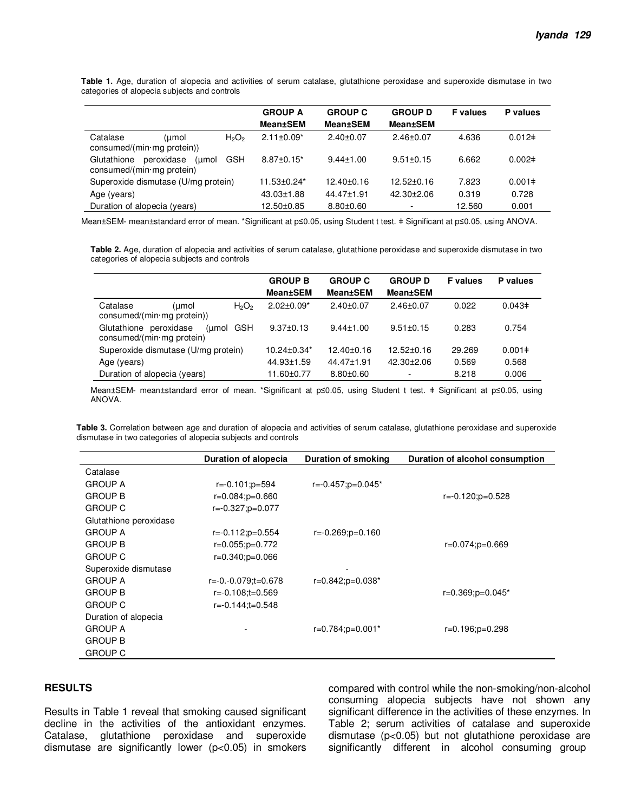**Table 1.** Age, duration of alopecia and activities of serum catalase, glutathione peroxidase and superoxide dismutase in two categories of alopecia subjects and controls

|                                                                                        | <b>GROUP A</b>    | <b>GROUP C</b>   | <b>GROUP D</b>   | <b>F</b> values | P values    |
|----------------------------------------------------------------------------------------|-------------------|------------------|------------------|-----------------|-------------|
|                                                                                        | <b>Mean±SEM</b>   | <b>Mean±SEM</b>  | <b>Mean±SEM</b>  |                 |             |
| Catalase<br>$H_2O_2$<br>umol)<br>consumed/(min·mg protein))                            | $2.11 \pm 0.09^*$ | $2.40\pm0.07$    | $2.46 \pm 0.07$  | 4.636           | $0.012 \pm$ |
| peroxidase<br><b>GSH</b><br>Glutathione<br>(umol<br>consumed/( $min \cdot mg$ protein) | $8.87 \pm 0.15^*$ | $9.44 \pm 1.00$  | $9.51 \pm 0.15$  | 6.662           | $0.002 \pm$ |
| Superoxide dismutase (U/mg protein)                                                    | 11.53±0.24*       | $12.40 \pm 0.16$ | $12.52 \pm 0.16$ | 7.823           | $0.001 \pm$ |
| Age (years)                                                                            | 43.03±1.88        | $44.47 \pm 1.91$ | $42.30 + 2.06$   | 0.319           | 0.728       |
| Duration of alopecia (years)                                                           | 12.50±0.85        | $8.80 \pm 0.60$  | $\sim$           | 12.560          | 0.001       |

Mean±SEM- mean±standard error of mean. \*Significant at p≤0.05, using Student t test. ǂ Significant at p≤0.05, using ANOVA.

**Table 2.** Age, duration of alopecia and activities of serum catalase, glutathione peroxidase and superoxide dismutase in two categories of alopecia subjects and controls

|                                                                           | <b>GROUP B</b>                | <b>GROUP C</b>   | <b>GROUP D</b>   | <b>F</b> values | P values    |
|---------------------------------------------------------------------------|-------------------------------|------------------|------------------|-----------------|-------------|
|                                                                           | Mean±SEM                      | <b>Mean±SEM</b>  | <b>Mean±SEM</b>  |                 |             |
| Catalase<br>$H_2O_2$<br>umol)<br>$consumed/(min \cdot mg$ protein))       | $2.02 \pm 0.09^*$             | $2.40\pm0.07$    | $2.46 \pm 0.07$  | 0.022           | $0.043 \pm$ |
| Glutathione peroxidase<br>(umol GSH<br>consumed/( $min \cdot mg$ protein) | $9.37+0.13$                   | $9.44 \pm 1.00$  | $9.51 \pm 0.15$  | 0.283           | 0.754       |
| Superoxide dismutase (U/mg protein)                                       | $10.24 \pm 0.34$ <sup>*</sup> | 12.40±0.16       | $12.52 \pm 0.16$ | 29.269          | $0.001 \pm$ |
| Age (years)                                                               | 44.93±1.59                    | $44.47 \pm 1.91$ | $42.30 \pm 2.06$ | 0.569           | 0.568       |
| Duration of alopecia (years)                                              | 11.60±0.77                    | $8.80 \pm 0.60$  |                  | 8.218           | 0.006       |

Mean±SEM- mean±standard error of mean. \*Significant at p≤0.05, using Student t test. ǂ Significant at p≤0.05, using ANOVA.

Table 3. Correlation between age and duration of alopecia and activities of serum catalase, glutathione peroxidase and superoxide dismutase in two categories of alopecia subjects and controls

|                        | Duration of alopecia       | Duration of smoking        | Duration of alcohol consumption |
|------------------------|----------------------------|----------------------------|---------------------------------|
| Catalase               |                            |                            |                                 |
| <b>GROUP A</b>         | $r = -0.101$ ; $p = 594$   | $r=-0.457$ ; $p=0.045*$    |                                 |
| <b>GROUP B</b>         | $r = 0.084$ ; $p = 0.660$  |                            | $r=-0.120$ ; $p=0.528$          |
| <b>GROUP C</b>         | r=-0.327;p=0.077           |                            |                                 |
| Glutathione peroxidase |                            |                            |                                 |
| <b>GROUP A</b>         | $r = -0.112$ ; $p = 0.554$ | $r = -0.269$ ; $p = 0.160$ |                                 |
| <b>GROUP B</b>         | $r=0.055$ ; $p=0.772$      |                            | $r=0.074$ ; $p=0.669$           |
| <b>GROUP C</b>         | $r = 0.340$ ; $p = 0.066$  |                            |                                 |
| Superoxide dismutase   |                            |                            |                                 |
| <b>GROUP A</b>         | r=-0.-0.079;t=0.678        | $r=0.842$ ; $p=0.038*$     |                                 |
| <b>GROUP B</b>         | r=-0.108;t=0.569           |                            | $r=0.369$ ; $p=0.045*$          |
| <b>GROUP C</b>         | $r=-0.144$ ;t=0.548        |                            |                                 |
| Duration of alopecia   |                            |                            |                                 |
| <b>GROUP A</b>         |                            | $r=0.784$ ; $p=0.001*$     | r=0.196;p=0.298                 |
| <b>GROUP B</b>         |                            |                            |                                 |
| <b>GROUP C</b>         |                            |                            |                                 |

## **RESULTS**

Results in Table 1 reveal that smoking caused significant decline in the activities of the antioxidant enzymes. Catalase, glutathione peroxidase and superoxide dismutase are significantly lower (p<0.05) in smokers compared with control while the non-smoking/non-alcohol consuming alopecia subjects have not shown any significant difference in the activities of these enzymes. In Table 2; serum activities of catalase and superoxide dismutase (p<0.05) but not glutathione peroxidase are significantly different in alcohol consuming group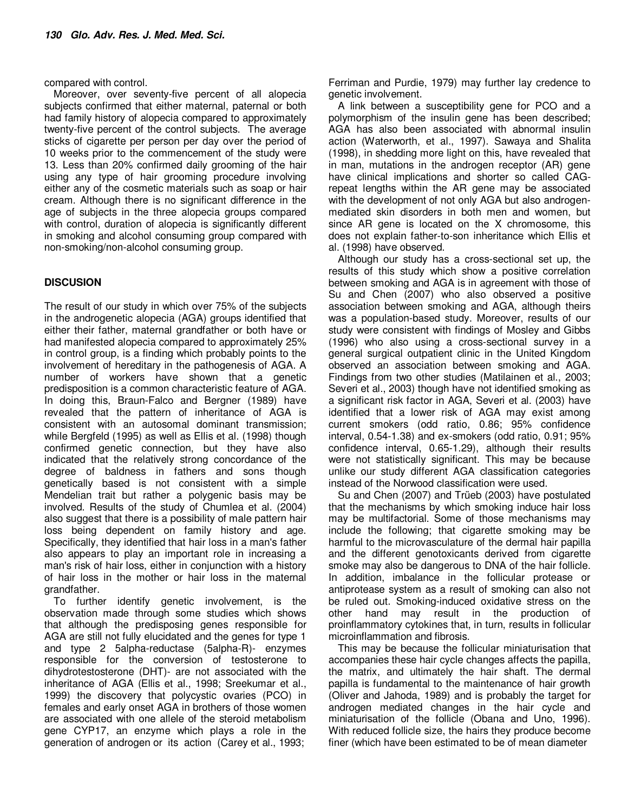compared with control.

Moreover, over seventy-five percent of all alopecia subjects confirmed that either maternal, paternal or both had family history of alopecia compared to approximately twenty-five percent of the control subjects. The average sticks of cigarette per person per day over the period of 10 weeks prior to the commencement of the study were 13. Less than 20% confirmed daily grooming of the hair using any type of hair grooming procedure involving either any of the cosmetic materials such as soap or hair cream. Although there is no significant difference in the age of subjects in the three alopecia groups compared with control, duration of alopecia is significantly different in smoking and alcohol consuming group compared with non-smoking/non-alcohol consuming group.

## **DISCUSION**

The result of our study in which over 75% of the subjects in the androgenetic alopecia (AGA) groups identified that either their father, maternal grandfather or both have or had manifested alopecia compared to approximately 25% in control group, is a finding which probably points to the involvement of hereditary in the pathogenesis of AGA. A number of workers have shown that a genetic predisposition is a common characteristic feature of AGA. In doing this, Braun-Falco and Bergner (1989) have revealed that the pattern of inheritance of AGA is consistent with an autosomal dominant transmission; while Bergfeld (1995) as well as Ellis et al. (1998) though confirmed genetic connection, but they have also indicated that the relatively strong concordance of the degree of baldness in fathers and sons though genetically based is not consistent with a simple Mendelian trait but rather a polygenic basis may be involved. Results of the study of Chumlea et al. (2004) also suggest that there is a possibility of male pattern hair loss being dependent on family history and age. Specifically, they identified that hair loss in a man's father also appears to play an important role in increasing a man's risk of hair loss, either in conjunction with a history of hair loss in the mother or hair loss in the maternal grandfather.

To further identify genetic involvement, is the observation made through some studies which shows that although the predisposing genes responsible for AGA are still not fully elucidated and the genes for type 1 and type 2 5alpha-reductase (5alpha-R)- enzymes responsible for the conversion of testosterone to dihydrotestosterone (DHT)- are not associated with the inheritance of AGA (Ellis et al., 1998; Sreekumar et al., 1999) the discovery that polycystic ovaries (PCO) in females and early onset AGA in brothers of those women are associated with one allele of the steroid metabolism gene CYP17, an enzyme which plays a role in the generation of androgen or its action (Carey et al., 1993;

Ferriman and Purdie, 1979) may further lay credence to genetic involvement.

A link between a susceptibility gene for PCO and a polymorphism of the insulin gene has been described; AGA has also been associated with abnormal insulin action (Waterworth, et al., 1997). Sawaya and Shalita (1998), in shedding more light on this, have revealed that in man, mutations in the androgen receptor (AR) gene have clinical implications and shorter so called CAGrepeat lengths within the AR gene may be associated with the development of not only AGA but also androgenmediated skin disorders in both men and women, but since AR gene is located on the X chromosome, this does not explain father-to-son inheritance which Ellis et al. (1998) have observed.

Although our study has a cross-sectional set up, the results of this study which show a positive correlation between smoking and AGA is in agreement with those of Su and Chen (2007) who also observed a positive association between smoking and AGA, although theirs was a population-based study. Moreover, results of our study were consistent with findings of Mosley and Gibbs (1996) who also using a cross-sectional survey in a general surgical outpatient clinic in the United Kingdom observed an association between smoking and AGA. Findings from two other studies (Matilainen et al., 2003; Severi et al., 2003) though have not identified smoking as a significant risk factor in AGA, Severi et al. (2003) have identified that a lower risk of AGA may exist among current smokers (odd ratio, 0.86; 95% confidence interval, 0.54-1.38) and ex-smokers (odd ratio, 0.91; 95% confidence interval, 0.65-1.29), although their results were not statistically significant. This may be because unlike our study different AGA classification categories instead of the Norwood classification were used.

Su and Chen (2007) and Trüeb (2003) have postulated that the mechanisms by which smoking induce hair loss may be multifactorial. Some of those mechanisms may include the following; that cigarette smoking may be harmful to the microvasculature of the dermal hair papilla and the different genotoxicants derived from cigarette smoke may also be dangerous to DNA of the hair follicle. In addition, imbalance in the follicular protease or antiprotease system as a result of smoking can also not be ruled out. Smoking-induced oxidative stress on the other hand may result in the production of proinflammatory cytokines that, in turn, results in follicular microinflammation and fibrosis.

This may be because the follicular miniaturisation that accompanies these hair cycle changes affects the papilla, the matrix, and ultimately the hair shaft. The dermal papilla is fundamental to the maintenance of hair growth (Oliver and Jahoda, 1989) and is probably the target for androgen mediated changes in the hair cycle and miniaturisation of the follicle (Obana and Uno, 1996). With reduced follicle size, the hairs they produce become finer (which have been estimated to be of mean diameter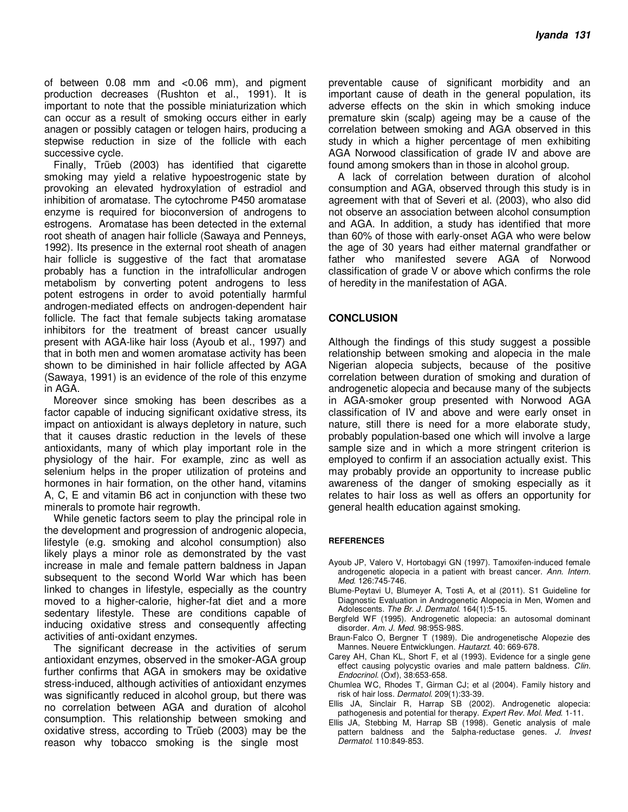of between 0.08 mm and <0.06 mm), and pigment production decreases (Rushton et al., 1991). It is important to note that the possible miniaturization which can occur as a result of smoking occurs either in early anagen or possibly catagen or telogen hairs, producing a stepwise reduction in size of the follicle with each successive cycle.

Finally, Trüeb (2003) has identified that cigarette smoking may yield a relative hypoestrogenic state by provoking an elevated hydroxylation of estradiol and inhibition of aromatase. The cytochrome P450 aromatase enzyme is required for bioconversion of androgens to estrogens. Aromatase has been detected in the external root sheath of anagen hair follicle (Sawaya and Penneys, 1992). Its presence in the external root sheath of anagen hair follicle is suggestive of the fact that aromatase probably has a function in the intrafollicular androgen metabolism by converting potent androgens to less potent estrogens in order to avoid potentially harmful androgen-mediated effects on androgen-dependent hair follicle. The fact that female subjects taking aromatase inhibitors for the treatment of breast cancer usually present with AGA-like hair loss (Ayoub et al., 1997) and that in both men and women aromatase activity has been shown to be diminished in hair follicle affected by AGA (Sawaya, 1991) is an evidence of the role of this enzyme in AGA.

Moreover since smoking has been describes as a factor capable of inducing significant oxidative stress, its impact on antioxidant is always depletory in nature, such that it causes drastic reduction in the levels of these antioxidants, many of which play important role in the physiology of the hair. For example, zinc as well as selenium helps in the proper utilization of proteins and hormones in hair formation, on the other hand, vitamins A, C, E and vitamin B6 act in conjunction with these two minerals to promote hair regrowth.

While genetic factors seem to play the principal role in the development and progression of androgenic alopecia, lifestyle (e.g. smoking and alcohol consumption) also likely plays a minor role as demonstrated by the vast increase in male and female pattern baldness in Japan subsequent to the second World War which has been linked to changes in lifestyle, especially as the country moved to a higher-calorie, higher-fat diet and a more sedentary lifestyle. These are conditions capable of inducing oxidative stress and consequently affecting activities of anti-oxidant enzymes.

The significant decrease in the activities of serum antioxidant enzymes, observed in the smoker-AGA group further confirms that AGA in smokers may be oxidative stress-induced, although activities of antioxidant enzymes was significantly reduced in alcohol group, but there was no correlation between AGA and duration of alcohol consumption. This relationship between smoking and oxidative stress, according to Trüeb (2003) may be the reason why tobacco smoking is the single most

preventable cause of significant morbidity and an important cause of death in the general population, its adverse effects on the skin in which smoking induce premature skin (scalp) ageing may be a cause of the correlation between smoking and AGA observed in this study in which a higher percentage of men exhibiting AGA Norwood classification of grade IV and above are found among smokers than in those in alcohol group.

A lack of correlation between duration of alcohol consumption and AGA, observed through this study is in agreement with that of Severi et al. (2003), who also did not observe an association between alcohol consumption and AGA. In addition, a study has identified that more than 60% of those with early-onset AGA who were below the age of 30 years had either maternal grandfather or father who manifested severe AGA of Norwood classification of grade V or above which confirms the role of heredity in the manifestation of AGA.

#### **CONCLUSION**

Although the findings of this study suggest a possible relationship between smoking and alopecia in the male Nigerian alopecia subjects, because of the positive correlation between duration of smoking and duration of androgenetic alopecia and because many of the subjects in AGA-smoker group presented with Norwood AGA classification of IV and above and were early onset in nature, still there is need for a more elaborate study, probably population-based one which will involve a large sample size and in which a more stringent criterion is employed to confirm if an association actually exist. This may probably provide an opportunity to increase public awareness of the danger of smoking especially as it relates to hair loss as well as offers an opportunity for general health education against smoking.

#### **REFERENCES**

- Ayoub JP, Valero V, Hortobagyi GN (1997). Tamoxifen-induced female androgenetic alopecia in a patient with breast cancer. Ann. Intern. Med. 126:745-746.
- Blume-Peytavi U, Blumeyer A, Tosti A, et al (2011). S1 Guideline for Diagnostic Evaluation in Androgenetic Alopecia in Men, Women and Adolescents. The Br. J. Dermatol. 164(1):5-15.
- Bergfeld WF (1995). Androgenetic alopecia: an autosomal dominant disorder. Am. J. Med. 98:95S-98S.
- Braun-Falco O, Bergner T (1989). Die androgenetische Alopezie des Mannes. Neuere Entwicklungen. Hautarzt. 40: 669-678.
- Carey AH, Chan KL, Short F, et al (1993). Evidence for a single gene effect causing polycystic ovaries and male pattern baldness. Clin. Endocrinol. (Oxf), 38:653-658.
- Chumlea WC, Rhodes T, Girman CJ; et al (2004). Family history and risk of hair loss. Dermatol. 209(1):33-39.
- Ellis JA, Sinclair R, Harrap SB (2002). Androgenetic alopecia: pathogenesis and potential for therapy. Expert Rev. Mol. Med. 1-11.
- Ellis JA, Stebbing M, Harrap SB (1998). Genetic analysis of male pattern baldness and the 5alpha-reductase genes. J. Invest Dermatol. 110:849-853.